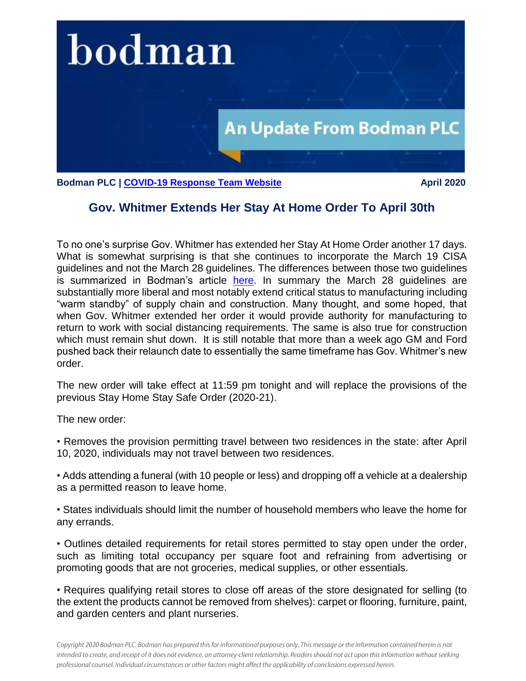

**Bodman PLC | [COVID-19 Response Team Website](http://www.bodmanlaw.com/practices/covid-19-response-team) April 2020** April 2020

## **Gov. Whitmer Extends Her Stay At Home Order To April 30th**

To no one's surprise Gov. Whitmer has extended her Stay At Home Order another 17 days. What is somewhat surprising is that she continues to incorporate the March 19 CISA guidelines and not the March 28 guidelines. The differences between those two guidelines is summarized in Bodman's article [here.](http://www.bodmanlaw.com/uploads/1626/doc/4.2.2020_CYBERSPACE_INFRASTRUCTURE_SECURITY_AGENCY_ISSUES_NEW_CRITICAL_INFRASTRUCTURE_GUIDELINES.pdf) In summary the March 28 guidelines are substantially more liberal and most notably extend critical status to manufacturing including "warm standby" of supply chain and construction. Many thought, and some hoped, that when Gov. Whitmer extended her order it would provide authority for manufacturing to return to work with social distancing requirements. The same is also true for construction which must remain shut down. It is still notable that more than a week ago GM and Ford pushed back their relaunch date to essentially the same timeframe has Gov. Whitmer's new order.

The new order will take effect at 11:59 pm tonight and will replace the provisions of the previous Stay Home Stay Safe Order (2020-21).

The new order:

• Removes the provision permitting travel between two residences in the state: after April 10, 2020, individuals may not travel between two residences.

• Adds attending a funeral (with 10 people or less) and dropping off a vehicle at a dealership as a permitted reason to leave home.

• States individuals should limit the number of household members who leave the home for any errands.

• Outlines detailed requirements for retail stores permitted to stay open under the order, such as limiting total occupancy per square foot and refraining from advertising or promoting goods that are not groceries, medical supplies, or other essentials.

• Requires qualifying retail stores to close off areas of the store designated for selling (to the extent the products cannot be removed from shelves): carpet or flooring, furniture, paint, and garden centers and plant nurseries.